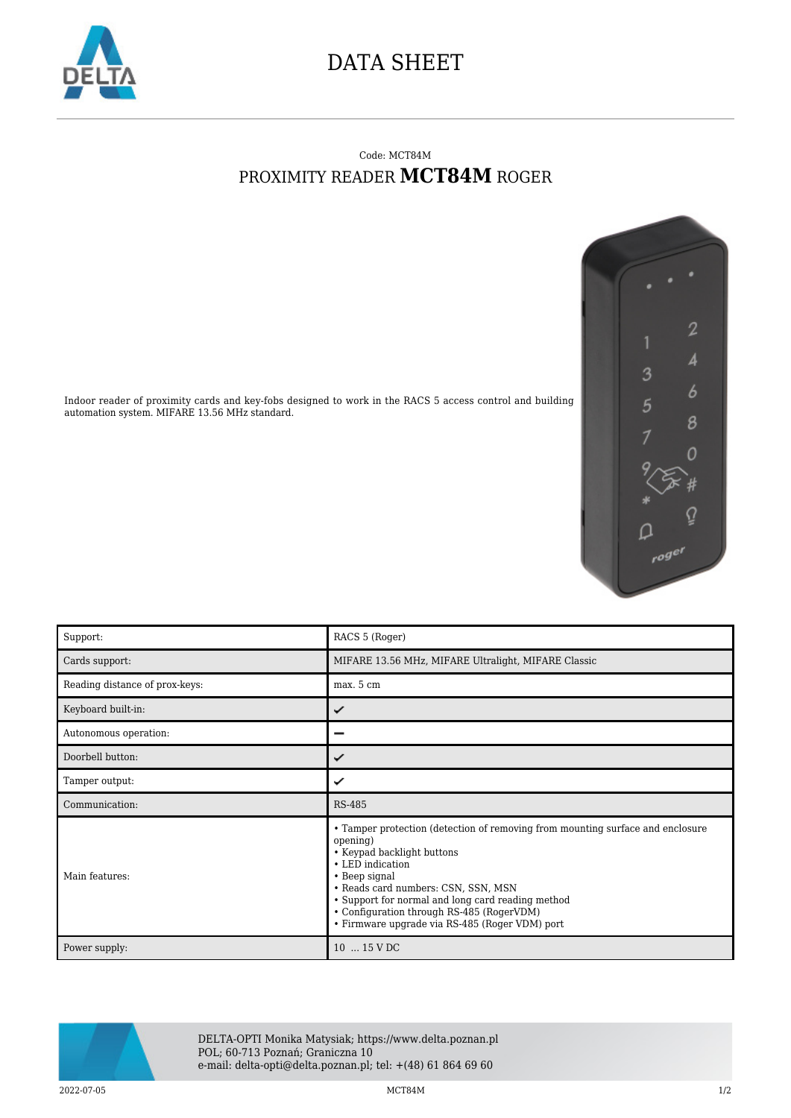

## DATA SHEET

## Code: MCT84M PROXIMITY READER **MCT84M** ROGER



Indoor reader of proximity cards and key-fobs designed to work in the RACS 5 access control and building automation system. MIFARE 13.56 MHz standard.

| Support:                       | RACS 5 (Roger)                                                                                                                                                                                                                                                                                                                                           |
|--------------------------------|----------------------------------------------------------------------------------------------------------------------------------------------------------------------------------------------------------------------------------------------------------------------------------------------------------------------------------------------------------|
| Cards support:                 | MIFARE 13.56 MHz, MIFARE Ultralight, MIFARE Classic                                                                                                                                                                                                                                                                                                      |
| Reading distance of prox-keys: | max. 5 cm                                                                                                                                                                                                                                                                                                                                                |
| Keyboard built-in:             | ✓                                                                                                                                                                                                                                                                                                                                                        |
| Autonomous operation:          |                                                                                                                                                                                                                                                                                                                                                          |
| Doorbell button:               | ✓                                                                                                                                                                                                                                                                                                                                                        |
| Tamper output:                 | ✓                                                                                                                                                                                                                                                                                                                                                        |
| Communication:                 | <b>RS-485</b>                                                                                                                                                                                                                                                                                                                                            |
| Main features:                 | • Tamper protection (detection of removing from mounting surface and enclosure<br>opening)<br>• Keypad backlight buttons<br>• LED indication<br>• Beep signal<br>• Reads card numbers: CSN, SSN, MSN<br>• Support for normal and long card reading method<br>• Configuration through RS-485 (RogerVDM)<br>• Firmware upgrade via RS-485 (Roger VDM) port |
|                                | $10$ $15 \text{ V}$ DC                                                                                                                                                                                                                                                                                                                                   |



DELTA-OPTI Monika Matysiak; https://www.delta.poznan.pl POL; 60-713 Poznań; Graniczna 10 e-mail: delta-opti@delta.poznan.pl; tel: +(48) 61 864 69 60